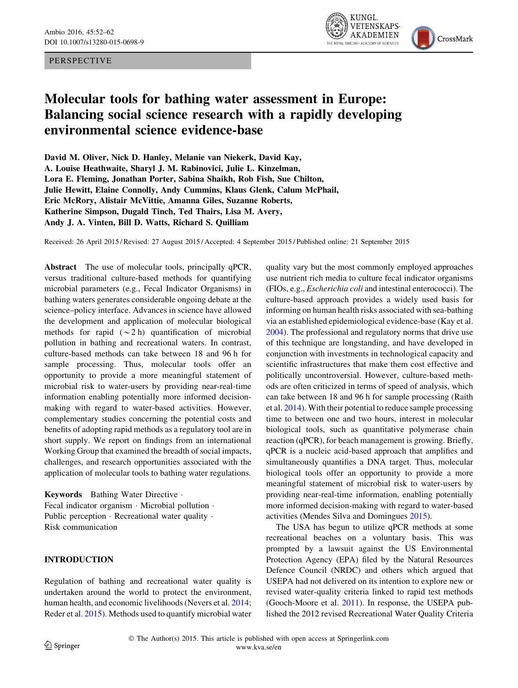PERSPECTIVE





# Molecular tools for bathing water assessment in Europe: Balancing social science research with a rapidly developing environmental science evidence-base

David M. Oliver, Nick D. Hanley, Melanie van Niekerk, David Kay, A. Louise Heathwaite, Sharyl J. M. Rabinovici, Julie L. Kinzelman, Lora E. Fleming, Jonathan Porter, Sabina Shaikh, Rob Fish, Sue Chilton, Julie Hewitt, Elaine Connolly, Andy Cummins, Klaus Glenk, Calum McPhail, Eric McRory, Alistair McVittie, Amanna Giles, Suzanne Roberts, Katherine Simpson, Dugald Tinch, Ted Thairs, Lisa M. Avery, Andy J. A. Vinten, Bill D. Watts, Richard S. Quilliam

Received: 26 April 2015 / Revised: 27 August 2015 / Accepted: 4 September 2015 / Published online: 21 September 2015

Abstract The use of molecular tools, principally qPCR, versus traditional culture-based methods for quantifying microbial parameters (e.g., Fecal Indicator Organisms) in bathing waters generates considerable ongoing debate at the science–policy interface. Advances in science have allowed the development and application of molecular biological methods for rapid  $({\sim}2 \text{ h})$  quantification of microbial pollution in bathing and recreational waters. In contrast, culture-based methods can take between 18 and 96 h for sample processing. Thus, molecular tools offer an opportunity to provide a more meaningful statement of microbial risk to water-users by providing near-real-time information enabling potentially more informed decisionmaking with regard to water-based activities. However, complementary studies concerning the potential costs and benefits of adopting rapid methods as a regulatory tool are in short supply. We report on findings from an international Working Group that examined the breadth of social impacts, challenges, and research opportunities associated with the application of molecular tools to bathing water regulations.

Keywords Bathing Water Directive - Fecal indicator organism · Microbial pollution · Public perception · Recreational water quality · Risk communication

# INTRODUCTION

Regulation of bathing and recreational water quality is undertaken around the world to protect the environment, human health, and economic livelihoods (Nevers et al. [2014](#page-7-0); Reder et al. [2015](#page-8-0)). Methods used to quantify microbial water quality vary but the most commonly employed approaches use nutrient rich media to culture fecal indicator organisms (FIOs, e.g., Escherichia coli and intestinal enterococci). The culture-based approach provides a widely used basis for informing on human health risks associated with sea-bathing via an established epidemiological evidence-base (Kay et al. [2004](#page-7-0)). The professional and regulatory norms that drive use of this technique are longstanding, and have developed in conjunction with investments in technological capacity and scientific infrastructures that make them cost effective and politically uncontroversial. However, culture-based methods are often criticized in terms of speed of analysis, which can take between 18 and 96 h for sample processing (Raith et al. [2014\)](#page-8-0). With their potential to reduce sample processing time to between one and two hours, interest in molecular biological tools, such as quantitative polymerase chain reaction (qPCR), for beach management is growing. Briefly, qPCR is a nucleic acid-based approach that amplifies and simultaneously quantifies a DNA target. Thus, molecular biological tools offer an opportunity to provide a more meaningful statement of microbial risk to water-users by providing near-real-time information, enabling potentially more informed decision-making with regard to water-based activities (Mendes Silva and Domingues [2015](#page-7-0)).

The USA has begun to utilize qPCR methods at some recreational beaches on a voluntary basis. This was prompted by a lawsuit against the US Environmental Protection Agency (EPA) filed by the Natural Resources Defence Council (NRDC) and others which argued that USEPA had not delivered on its intention to explore new or revised water-quality criteria linked to rapid test methods (Gooch-Moore et al. [2011](#page-7-0)). In response, the USEPA published the 2012 revised Recreational Water Quality Criteria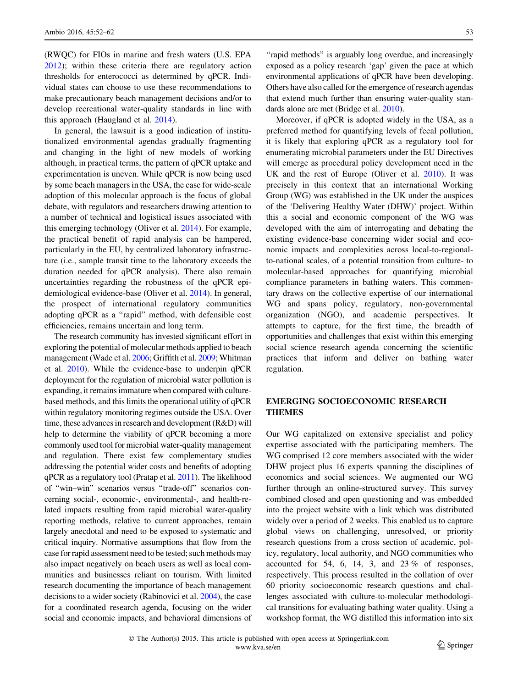(RWQC) for FIOs in marine and fresh waters (U.S. EPA [2012\)](#page-8-0); within these criteria there are regulatory action thresholds for enterococci as determined by qPCR. Individual states can choose to use these recommendations to make precautionary beach management decisions and/or to develop recreational water-quality standards in line with this approach (Haugland et al. [2014](#page-7-0)).

In general, the lawsuit is a good indication of institutionalized environmental agendas gradually fragmenting and changing in the light of new models of working although, in practical terms, the pattern of qPCR uptake and experimentation is uneven. While qPCR is now being used by some beach managers in the USA, the case for wide-scale adoption of this molecular approach is the focus of global debate, with regulators and researchers drawing attention to a number of technical and logistical issues associated with this emerging technology (Oliver et al. [2014](#page-7-0)). For example, the practical benefit of rapid analysis can be hampered, particularly in the EU, by centralized laboratory infrastructure (i.e., sample transit time to the laboratory exceeds the duration needed for qPCR analysis). There also remain uncertainties regarding the robustness of the qPCR epidemiological evidence-base (Oliver et al. [2014](#page-7-0)). In general, the prospect of international regulatory communities adopting qPCR as a ''rapid'' method, with defensible cost efficiencies, remains uncertain and long term.

The research community has invested significant effort in exploring the potential of molecular methods applied to beach management (Wade et al. [2006;](#page-8-0) Griffith et al. [2009;](#page-7-0) Whitman et al. [2010\)](#page-8-0). While the evidence-base to underpin qPCR deployment for the regulation of microbial water pollution is expanding, it remains immature when compared with culturebased methods, and this limits the operational utility of qPCR within regulatory monitoring regimes outside the USA. Over time, these advances in research and development (R&D) will help to determine the viability of qPCR becoming a more commonly used tool for microbial water-quality management and regulation. There exist few complementary studies addressing the potential wider costs and benefits of adopting qPCR as a regulatory tool (Pratap et al. [2011](#page-8-0)). The likelihood of ''win–win'' scenarios versus ''trade-off'' scenarios concerning social-, economic-, environmental-, and health-related impacts resulting from rapid microbial water-quality reporting methods, relative to current approaches, remain largely anecdotal and need to be exposed to systematic and critical inquiry. Normative assumptions that flow from the case for rapid assessment need to be tested; such methods may also impact negatively on beach users as well as local communities and businesses reliant on tourism. With limited research documenting the importance of beach management decisions to a wider society (Rabinovici et al. [2004](#page-8-0)), the case for a coordinated research agenda, focusing on the wider social and economic impacts, and behavioral dimensions of

"rapid methods" is arguably long overdue, and increasingly exposed as a policy research 'gap' given the pace at which environmental applications of qPCR have been developing. Others have also called for the emergence of research agendas that extend much further than ensuring water-quality standards alone are met (Bridge et al. [2010](#page-7-0)).

Moreover, if qPCR is adopted widely in the USA, as a preferred method for quantifying levels of fecal pollution, it is likely that exploring qPCR as a regulatory tool for enumerating microbial parameters under the EU Directives will emerge as procedural policy development need in the UK and the rest of Europe (Oliver et al. [2010](#page-7-0)). It was precisely in this context that an international Working Group (WG) was established in the UK under the auspices of the 'Delivering Healthy Water (DHW)' project. Within this a social and economic component of the WG was developed with the aim of interrogating and debating the existing evidence-base concerning wider social and economic impacts and complexities across local-to-regionalto-national scales, of a potential transition from culture- to molecular-based approaches for quantifying microbial compliance parameters in bathing waters. This commentary draws on the collective expertise of our international WG and spans policy, regulatory, non-governmental organization (NGO), and academic perspectives. It attempts to capture, for the first time, the breadth of opportunities and challenges that exist within this emerging social science research agenda concerning the scientific practices that inform and deliver on bathing water regulation.

# EMERGING SOCIOECONOMIC RESEARCH THEMES

Our WG capitalized on extensive specialist and policy expertise associated with the participating members. The WG comprised 12 core members associated with the wider DHW project plus 16 experts spanning the disciplines of economics and social sciences. We augmented our WG further through an online-structured survey. This survey combined closed and open questioning and was embedded into the project website with a link which was distributed widely over a period of 2 weeks. This enabled us to capture global views on challenging, unresolved, or priority research questions from a cross section of academic, policy, regulatory, local authority, and NGO communities who accounted for 54, 6, 14, 3, and 23 % of responses, respectively. This process resulted in the collation of over 60 priority socioeconomic research questions and challenges associated with culture-to-molecular methodological transitions for evaluating bathing water quality. Using a workshop format, the WG distilled this information into six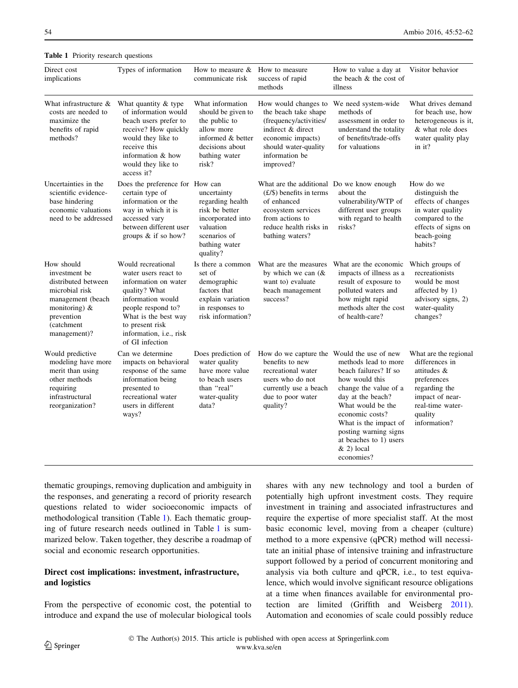## <span id="page-2-0"></span>Table 1 Priority research questions

| Direct cost<br>implications                                                                                                                               | Types of information                                                                                                                                                                                                            | How to measure & How to measure<br>communicate risk                                                                                     | success of rapid<br>methods                                                                                                                                                 | How to value a day at<br>the beach & the cost of<br>illness                                                                                                                                                                                                     | Visitor behavior                                                                                                                                         |
|-----------------------------------------------------------------------------------------------------------------------------------------------------------|---------------------------------------------------------------------------------------------------------------------------------------------------------------------------------------------------------------------------------|-----------------------------------------------------------------------------------------------------------------------------------------|-----------------------------------------------------------------------------------------------------------------------------------------------------------------------------|-----------------------------------------------------------------------------------------------------------------------------------------------------------------------------------------------------------------------------------------------------------------|----------------------------------------------------------------------------------------------------------------------------------------------------------|
| What infrastructure &<br>costs are needed to<br>maximize the<br>benefits of rapid<br>methods?                                                             | What quantity & type<br>of information would<br>beach users prefer to<br>receive? How quickly<br>would they like to<br>receive this<br>information & how<br>would they like to<br>access it?                                    | What information<br>should be given to<br>the public to<br>allow more<br>informed & better<br>decisions about<br>bathing water<br>risk? | How would changes to<br>the beach take shape<br>(frequency/activities/<br>indirect & direct<br>economic impacts)<br>should water-quality<br>information be<br>improved?     | We need system-wide<br>methods of<br>assessment in order to<br>understand the totality<br>of benefits/trade-offs<br>for valuations                                                                                                                              | What drives demand<br>for beach use, how<br>heterogeneous is it,<br>& what role does<br>water quality play<br>in it?                                     |
| Uncertainties in the<br>scientific evidence-<br>base hindering<br>economic valuations<br>need to be addressed                                             | Does the preference for How can<br>certain type of<br>information or the<br>way in which it is<br>accessed vary<br>between different user<br>groups $\&$ if so how?                                                             | uncertainty<br>regarding health<br>risk be better<br>incorporated into<br>valuation<br>scenarios of<br>bathing water<br>quality?        | What are the additional Do we know enough<br>$(E/S)$ benefits in terms<br>of enhanced<br>ecosystem services<br>from actions to<br>reduce health risks in<br>bathing waters? | about the<br>vulnerability/WTP of<br>different user groups<br>with regard to health<br>risks?                                                                                                                                                                   | How do we<br>distinguish the<br>effects of changes<br>in water quality<br>compared to the<br>effects of signs on<br>beach-going<br>habits?               |
| How should<br>investment be<br>distributed between<br>microbial risk<br>management (beach<br>monitoring) $\&$<br>prevention<br>(catchment<br>management)? | Would recreational<br>water users react to<br>information on water<br>quality? What<br>information would<br>people respond to?<br>What is the best way<br>to present risk<br>information, <i>i.e.</i> , risk<br>of GI infection | Is there a common<br>set of<br>demographic<br>factors that<br>explain variation<br>in responses to<br>risk information?                 | What are the measures<br>by which we can $(\&$<br>want to) evaluate<br>beach management<br>success?                                                                         | What are the economic<br>impacts of illness as a<br>result of exposure to<br>polluted waters and<br>how might rapid<br>methods alter the cost<br>of health-care?                                                                                                | Which groups of<br>recreationists<br>would be most<br>affected by 1)<br>advisory signs, 2)<br>water-quality<br>changes?                                  |
| Would predictive<br>modeling have more<br>merit than using<br>other methods<br>requiring<br>infrastructural<br>reorganization?                            | Can we determine<br>impacts on behavioral<br>response of the same<br>information being<br>presented to<br>recreational water<br>users in different<br>ways?                                                                     | Does prediction of<br>water quality<br>have more value<br>to beach users<br>than "real"<br>water-quality<br>data?                       | How do we capture the Would the use of new<br>benefits to new<br>recreational water<br>users who do not<br>currently use a beach<br>due to poor water<br>quality?           | methods lead to more<br>beach failures? If so<br>how would this<br>change the value of a<br>day at the beach?<br>What would be the<br>economic costs?<br>What is the impact of<br>posting warning signs<br>at beaches to 1) users<br>$& 2)$ local<br>economies? | What are the regional<br>differences in<br>attitudes &<br>preferences<br>regarding the<br>impact of near-<br>real-time water-<br>quality<br>information? |

thematic groupings, removing duplication and ambiguity in the responses, and generating a record of priority research questions related to wider socioeconomic impacts of methodological transition (Table 1). Each thematic grouping of future research needs outlined in Table 1 is summarized below. Taken together, they describe a roadmap of social and economic research opportunities.

# Direct cost implications: investment, infrastructure, and logistics

From the perspective of economic cost, the potential to introduce and expand the use of molecular biological tools shares with any new technology and tool a burden of potentially high upfront investment costs. They require investment in training and associated infrastructures and require the expertise of more specialist staff. At the most basic economic level, moving from a cheaper (culture) method to a more expensive (qPCR) method will necessitate an initial phase of intensive training and infrastructure support followed by a period of concurrent monitoring and analysis via both culture and qPCR, i.e., to test equivalence, which would involve significant resource obligations at a time when finances available for environmental protection are limited (Griffith and Weisberg [2011](#page-7-0)). Automation and economies of scale could possibly reduce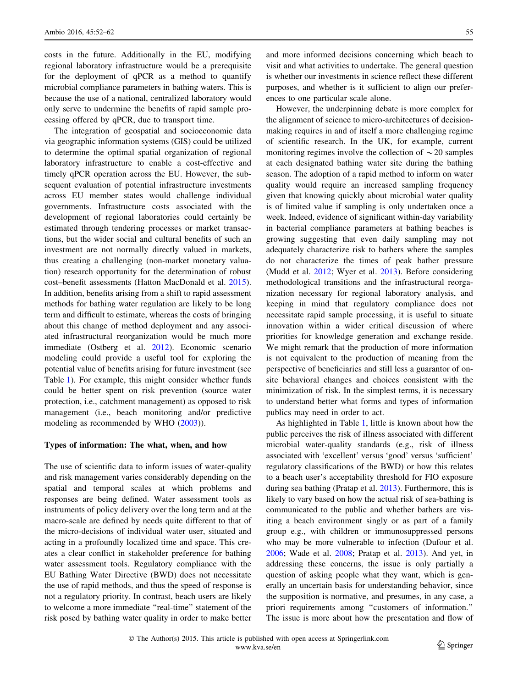costs in the future. Additionally in the EU, modifying regional laboratory infrastructure would be a prerequisite for the deployment of qPCR as a method to quantify microbial compliance parameters in bathing waters. This is because the use of a national, centralized laboratory would only serve to undermine the benefits of rapid sample processing offered by qPCR, due to transport time.

The integration of geospatial and socioeconomic data via geographic information systems (GIS) could be utilized to determine the optimal spatial organization of regional laboratory infrastructure to enable a cost-effective and timely qPCR operation across the EU. However, the subsequent evaluation of potential infrastructure investments across EU member states would challenge individual governments. Infrastructure costs associated with the development of regional laboratories could certainly be estimated through tendering processes or market transactions, but the wider social and cultural benefits of such an investment are not normally directly valued in markets, thus creating a challenging (non-market monetary valuation) research opportunity for the determination of robust cost–benefit assessments (Hatton MacDonald et al. [2015](#page-7-0)). In addition, benefits arising from a shift to rapid assessment methods for bathing water regulation are likely to be long term and difficult to estimate, whereas the costs of bringing about this change of method deployment and any associated infrastructural reorganization would be much more immediate (Ostberg et al. [2012\)](#page-8-0). Economic scenario modeling could provide a useful tool for exploring the potential value of benefits arising for future investment (see Table [1](#page-2-0)). For example, this might consider whether funds could be better spent on risk prevention (source water protection, i.e., catchment management) as opposed to risk management (i.e., beach monitoring and/or predictive modeling as recommended by WHO ([2003\)](#page-8-0)).

## Types of information: The what, when, and how

The use of scientific data to inform issues of water-quality and risk management varies considerably depending on the spatial and temporal scales at which problems and responses are being defined. Water assessment tools as instruments of policy delivery over the long term and at the macro-scale are defined by needs quite different to that of the micro-decisions of individual water user, situated and acting in a profoundly localized time and space. This creates a clear conflict in stakeholder preference for bathing water assessment tools. Regulatory compliance with the EU Bathing Water Directive (BWD) does not necessitate the use of rapid methods, and thus the speed of response is not a regulatory priority. In contrast, beach users are likely to welcome a more immediate ''real-time'' statement of the risk posed by bathing water quality in order to make better and more informed decisions concerning which beach to visit and what activities to undertake. The general question is whether our investments in science reflect these different purposes, and whether is it sufficient to align our preferences to one particular scale alone.

However, the underpinning debate is more complex for the alignment of science to micro-architectures of decisionmaking requires in and of itself a more challenging regime of scientific research. In the UK, for example, current monitoring regimes involve the collection of  $\sim$  20 samples at each designated bathing water site during the bathing season. The adoption of a rapid method to inform on water quality would require an increased sampling frequency given that knowing quickly about microbial water quality is of limited value if sampling is only undertaken once a week. Indeed, evidence of significant within-day variability in bacterial compliance parameters at bathing beaches is growing suggesting that even daily sampling may not adequately characterize risk to bathers where the samples do not characterize the times of peak bather pressure (Mudd et al. [2012](#page-7-0); Wyer et al. [2013](#page-8-0)). Before considering methodological transitions and the infrastructural reorganization necessary for regional laboratory analysis, and keeping in mind that regulatory compliance does not necessitate rapid sample processing, it is useful to situate innovation within a wider critical discussion of where priorities for knowledge generation and exchange reside. We might remark that the production of more information is not equivalent to the production of meaning from the perspective of beneficiaries and still less a guarantor of onsite behavioral changes and choices consistent with the minimization of risk. In the simplest terms, it is necessary to understand better what forms and types of information publics may need in order to act.

As highlighted in Table [1,](#page-2-0) little is known about how the public perceives the risk of illness associated with different microbial water-quality standards (e.g., risk of illness associated with 'excellent' versus 'good' versus 'sufficient' regulatory classifications of the BWD) or how this relates to a beach user's acceptability threshold for FIO exposure during sea bathing (Pratap et al. [2013\)](#page-8-0). Furthermore, this is likely to vary based on how the actual risk of sea-bathing is communicated to the public and whether bathers are visiting a beach environment singly or as part of a family group e.g., with children or immunosuppressed persons who may be more vulnerable to infection (Dufour et al. [2006](#page-7-0); Wade et al. [2008](#page-8-0); Pratap et al. [2013\)](#page-8-0). And yet, in addressing these concerns, the issue is only partially a question of asking people what they want, which is generally an uncertain basis for understanding behavior, since the supposition is normative, and presumes, in any case, a priori requirements among ''customers of information.'' The issue is more about how the presentation and flow of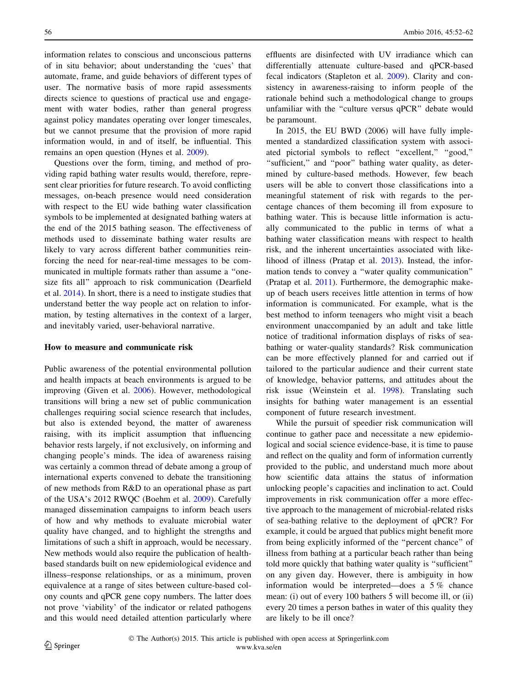information relates to conscious and unconscious patterns of in situ behavior; about understanding the 'cues' that automate, frame, and guide behaviors of different types of user. The normative basis of more rapid assessments directs science to questions of practical use and engagement with water bodies, rather than general progress against policy mandates operating over longer timescales, but we cannot presume that the provision of more rapid information would, in and of itself, be influential. This remains an open question (Hynes et al. [2009\)](#page-7-0).

Questions over the form, timing, and method of providing rapid bathing water results would, therefore, represent clear priorities for future research. To avoid conflicting messages, on-beach presence would need consideration with respect to the EU wide bathing water classification symbols to be implemented at designated bathing waters at the end of the 2015 bathing season. The effectiveness of methods used to disseminate bathing water results are likely to vary across different bather communities reinforcing the need for near-real-time messages to be communicated in multiple formats rather than assume a ''onesize fits all'' approach to risk communication (Dearfield et al. [2014\)](#page-7-0). In short, there is a need to instigate studies that understand better the way people act on relation to information, by testing alternatives in the context of a larger, and inevitably varied, user-behavioral narrative.

## How to measure and communicate risk

Public awareness of the potential environmental pollution and health impacts at beach environments is argued to be improving (Given et al. [2006\)](#page-7-0). However, methodological transitions will bring a new set of public communication challenges requiring social science research that includes, but also is extended beyond, the matter of awareness raising, with its implicit assumption that influencing behavior rests largely, if not exclusively, on informing and changing people's minds. The idea of awareness raising was certainly a common thread of debate among a group of international experts convened to debate the transitioning of new methods from R&D to an operational phase as part of the USA's 2012 RWQC (Boehm et al. [2009](#page-7-0)). Carefully managed dissemination campaigns to inform beach users of how and why methods to evaluate microbial water quality have changed, and to highlight the strengths and limitations of such a shift in approach, would be necessary. New methods would also require the publication of healthbased standards built on new epidemiological evidence and illness–response relationships, or as a minimum, proven equivalence at a range of sites between culture-based colony counts and qPCR gene copy numbers. The latter does not prove 'viability' of the indicator or related pathogens and this would need detailed attention particularly where effluents are disinfected with UV irradiance which can differentially attenuate culture-based and qPCR-based fecal indicators (Stapleton et al. [2009](#page-8-0)). Clarity and consistency in awareness-raising to inform people of the rationale behind such a methodological change to groups unfamiliar with the ''culture versus qPCR'' debate would be paramount.

In 2015, the EU BWD (2006) will have fully implemented a standardized classification system with associated pictorial symbols to reflect ''excellent,'' ''good,'' ''sufficient,'' and ''poor'' bathing water quality, as determined by culture-based methods. However, few beach users will be able to convert those classifications into a meaningful statement of risk with regards to the percentage chances of them becoming ill from exposure to bathing water. This is because little information is actually communicated to the public in terms of what a bathing water classification means with respect to health risk, and the inherent uncertainties associated with likelihood of illness (Pratap et al. [2013\)](#page-8-0). Instead, the information tends to convey a ''water quality communication'' (Pratap et al. [2011](#page-8-0)). Furthermore, the demographic makeup of beach users receives little attention in terms of how information is communicated. For example, what is the best method to inform teenagers who might visit a beach environment unaccompanied by an adult and take little notice of traditional information displays of risks of seabathing or water-quality standards? Risk communication can be more effectively planned for and carried out if tailored to the particular audience and their current state of knowledge, behavior patterns, and attitudes about the risk issue (Weinstein et al. [1998](#page-8-0)). Translating such insights for bathing water management is an essential component of future research investment.

While the pursuit of speedier risk communication will continue to gather pace and necessitate a new epidemiological and social science evidence-base, it is time to pause and reflect on the quality and form of information currently provided to the public, and understand much more about how scientific data attains the status of information unlocking people's capacities and inclination to act. Could improvements in risk communication offer a more effective approach to the management of microbial-related risks of sea-bathing relative to the deployment of qPCR? For example, it could be argued that publics might benefit more from being explicitly informed of the ''percent chance'' of illness from bathing at a particular beach rather than being told more quickly that bathing water quality is ''sufficient'' on any given day. However, there is ambiguity in how information would be interpreted—does a 5 % chance mean: (i) out of every 100 bathers 5 will become ill, or (ii) every 20 times a person bathes in water of this quality they are likely to be ill once?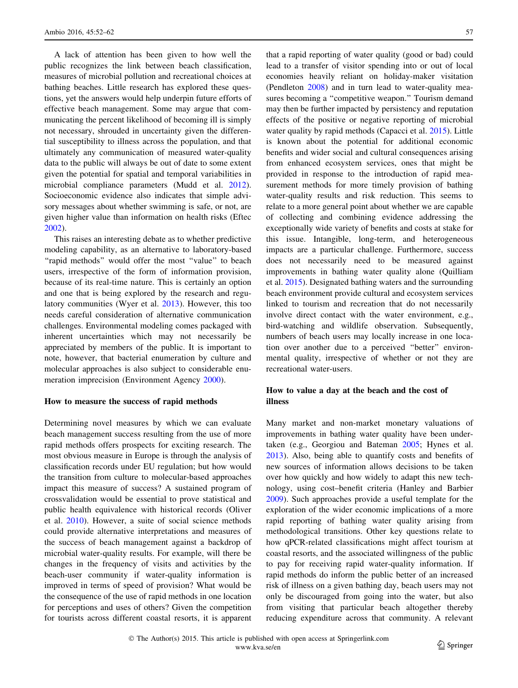A lack of attention has been given to how well the public recognizes the link between beach classification, measures of microbial pollution and recreational choices at bathing beaches. Little research has explored these questions, yet the answers would help underpin future efforts of effective beach management. Some may argue that communicating the percent likelihood of becoming ill is simply not necessary, shrouded in uncertainty given the differential susceptibility to illness across the population, and that ultimately any communication of measured water-quality data to the public will always be out of date to some extent given the potential for spatial and temporal variabilities in microbial compliance parameters (Mudd et al. [2012](#page-7-0)). Socioeconomic evidence also indicates that simple advisory messages about whether swimming is safe, or not, are given higher value than information on health risks (Eftec [2002\)](#page-7-0).

This raises an interesting debate as to whether predictive modeling capability, as an alternative to laboratory-based "rapid methods" would offer the most "value" to beach users, irrespective of the form of information provision, because of its real-time nature. This is certainly an option and one that is being explored by the research and regulatory communities (Wyer et al. [2013](#page-8-0)). However, this too needs careful consideration of alternative communication challenges. Environmental modeling comes packaged with inherent uncertainties which may not necessarily be appreciated by members of the public. It is important to note, however, that bacterial enumeration by culture and molecular approaches is also subject to considerable enumeration imprecision (Environment Agency [2000\)](#page-7-0).

#### How to measure the success of rapid methods

Determining novel measures by which we can evaluate beach management success resulting from the use of more rapid methods offers prospects for exciting research. The most obvious measure in Europe is through the analysis of classification records under EU regulation; but how would the transition from culture to molecular-based approaches impact this measure of success? A sustained program of crossvalidation would be essential to prove statistical and public health equivalence with historical records (Oliver et al. [2010](#page-7-0)). However, a suite of social science methods could provide alternative interpretations and measures of the success of beach management against a backdrop of microbial water-quality results. For example, will there be changes in the frequency of visits and activities by the beach-user community if water-quality information is improved in terms of speed of provision? What would be the consequence of the use of rapid methods in one location for perceptions and uses of others? Given the competition for tourists across different coastal resorts, it is apparent

that a rapid reporting of water quality (good or bad) could lead to a transfer of visitor spending into or out of local economies heavily reliant on holiday-maker visitation (Pendleton [2008\)](#page-8-0) and in turn lead to water-quality measures becoming a "competitive weapon." Tourism demand may then be further impacted by persistency and reputation effects of the positive or negative reporting of microbial water quality by rapid methods (Capacci et al. [2015](#page-7-0)). Little is known about the potential for additional economic benefits and wider social and cultural consequences arising from enhanced ecosystem services, ones that might be provided in response to the introduction of rapid measurement methods for more timely provision of bathing water-quality results and risk reduction. This seems to relate to a more general point about whether we are capable of collecting and combining evidence addressing the exceptionally wide variety of benefits and costs at stake for this issue. Intangible, long-term, and heterogeneous impacts are a particular challenge. Furthermore, success does not necessarily need to be measured against improvements in bathing water quality alone (Quilliam et al. [2015\)](#page-8-0). Designated bathing waters and the surrounding beach environment provide cultural and ecosystem services linked to tourism and recreation that do not necessarily involve direct contact with the water environment, e.g., bird-watching and wildlife observation. Subsequently, numbers of beach users may locally increase in one location over another due to a perceived ''better'' environmental quality, irrespective of whether or not they are recreational water-users.

# How to value a day at the beach and the cost of illness

Many market and non-market monetary valuations of improvements in bathing water quality have been undertaken (e.g., Georgiou and Bateman [2005;](#page-7-0) Hynes et al. [2013](#page-7-0)). Also, being able to quantify costs and benefits of new sources of information allows decisions to be taken over how quickly and how widely to adapt this new technology, using cost–benefit criteria (Hanley and Barbier [2009](#page-7-0)). Such approaches provide a useful template for the exploration of the wider economic implications of a more rapid reporting of bathing water quality arising from methodological transitions. Other key questions relate to how qPCR-related classifications might affect tourism at coastal resorts, and the associated willingness of the public to pay for receiving rapid water-quality information. If rapid methods do inform the public better of an increased risk of illness on a given bathing day, beach users may not only be discouraged from going into the water, but also from visiting that particular beach altogether thereby reducing expenditure across that community. A relevant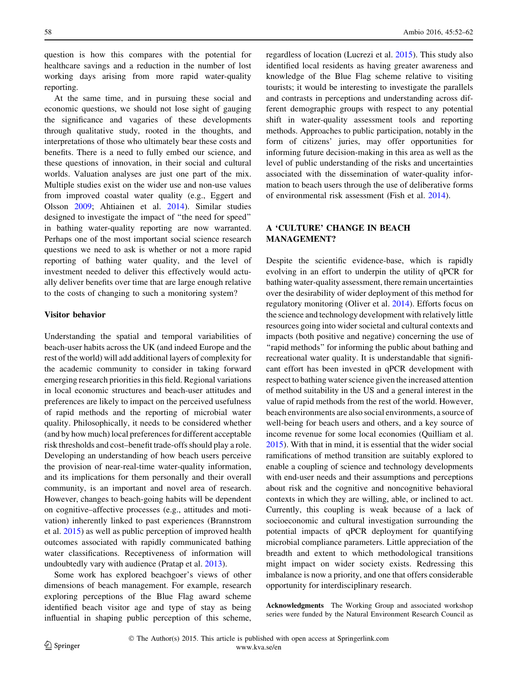question is how this compares with the potential for healthcare savings and a reduction in the number of lost working days arising from more rapid water-quality reporting.

At the same time, and in pursuing these social and economic questions, we should not lose sight of gauging the significance and vagaries of these developments through qualitative study, rooted in the thoughts, and interpretations of those who ultimately bear these costs and benefits. There is a need to fully embed our science, and these questions of innovation, in their social and cultural worlds. Valuation analyses are just one part of the mix. Multiple studies exist on the wider use and non-use values from improved coastal water quality (e.g., Eggert and Olsson [2009;](#page-7-0) Ahtiainen et al. [2014](#page-7-0)). Similar studies designed to investigate the impact of ''the need for speed'' in bathing water-quality reporting are now warranted. Perhaps one of the most important social science research questions we need to ask is whether or not a more rapid reporting of bathing water quality, and the level of investment needed to deliver this effectively would actually deliver benefits over time that are large enough relative to the costs of changing to such a monitoring system?

## Visitor behavior

Understanding the spatial and temporal variabilities of beach-user habits across the UK (and indeed Europe and the rest of the world) will add additional layers of complexity for the academic community to consider in taking forward emerging research priorities in this field. Regional variations in local economic structures and beach-user attitudes and preferences are likely to impact on the perceived usefulness of rapid methods and the reporting of microbial water quality. Philosophically, it needs to be considered whether (and by how much) local preferences for different acceptable risk thresholds and cost–benefit trade-offs should play a role. Developing an understanding of how beach users perceive the provision of near-real-time water-quality information, and its implications for them personally and their overall community, is an important and novel area of research. However, changes to beach-going habits will be dependent on cognitive–affective processes (e.g., attitudes and motivation) inherently linked to past experiences (Brannstrom et al. [2015](#page-7-0)) as well as public perception of improved health outcomes associated with rapidly communicated bathing water classifications. Receptiveness of information will undoubtedly vary with audience (Pratap et al. [2013\)](#page-8-0).

Some work has explored beachgoer's views of other dimensions of beach management. For example, research exploring perceptions of the Blue Flag award scheme identified beach visitor age and type of stay as being influential in shaping public perception of this scheme, regardless of location (Lucrezi et al. [2015\)](#page-7-0). This study also identified local residents as having greater awareness and knowledge of the Blue Flag scheme relative to visiting tourists; it would be interesting to investigate the parallels and contrasts in perceptions and understanding across different demographic groups with respect to any potential shift in water-quality assessment tools and reporting methods. Approaches to public participation, notably in the form of citizens' juries, may offer opportunities for informing future decision-making in this area as well as the level of public understanding of the risks and uncertainties associated with the dissemination of water-quality information to beach users through the use of deliberative forms of environmental risk assessment (Fish et al. [2014\)](#page-7-0).

# A 'CULTURE' CHANGE IN BEACH MANAGEMENT?

Despite the scientific evidence-base, which is rapidly evolving in an effort to underpin the utility of qPCR for bathing water-quality assessment, there remain uncertainties over the desirability of wider deployment of this method for regulatory monitoring (Oliver et al. [2014](#page-7-0)). Efforts focus on the science and technology development with relatively little resources going into wider societal and cultural contexts and impacts (both positive and negative) concerning the use of ''rapid methods'' for informing the public about bathing and recreational water quality. It is understandable that significant effort has been invested in qPCR development with respect to bathing water science given the increased attention of method suitability in the US and a general interest in the value of rapid methods from the rest of the world. However, beach environments are also social environments, a source of well-being for beach users and others, and a key source of income revenue for some local economies (Quilliam et al. [2015](#page-8-0)). With that in mind, it is essential that the wider social ramifications of method transition are suitably explored to enable a coupling of science and technology developments with end-user needs and their assumptions and perceptions about risk and the cognitive and noncognitive behavioral contexts in which they are willing, able, or inclined to act. Currently, this coupling is weak because of a lack of socioeconomic and cultural investigation surrounding the potential impacts of qPCR deployment for quantifying microbial compliance parameters. Little appreciation of the breadth and extent to which methodological transitions might impact on wider society exists. Redressing this imbalance is now a priority, and one that offers considerable opportunity for interdisciplinary research.

Acknowledgments The Working Group and associated workshop series were funded by the Natural Environment Research Council as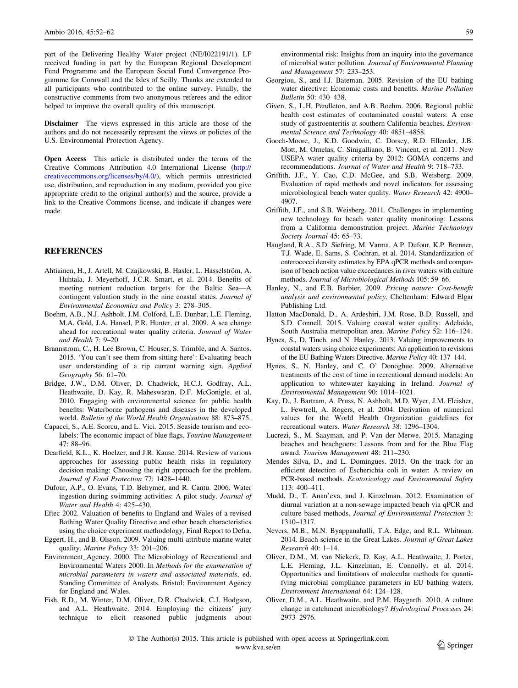<span id="page-7-0"></span>part of the Delivering Healthy Water project (NE/I022191/1). LF received funding in part by the European Regional Development Fund Programme and the European Social Fund Convergence Programme for Cornwall and the Isles of Scilly. Thanks are extended to all participants who contributed to the online survey. Finally, the constructive comments from two anonymous referees and the editor helped to improve the overall quality of this manuscript.

Disclaimer The views expressed in this article are those of the authors and do not necessarily represent the views or policies of the U.S. Environmental Protection Agency.

Open Access This article is distributed under the terms of the Creative Commons Attribution 4.0 International License ([http://](http://creativecommons.org/licenses/by/4.0/) [creativecommons.org/licenses/by/4.0/\)](http://creativecommons.org/licenses/by/4.0/), which permits unrestricted use, distribution, and reproduction in any medium, provided you give appropriate credit to the original author(s) and the source, provide a link to the Creative Commons license, and indicate if changes were made.

## **REFERENCES**

- Ahtiainen, H., J. Artell, M. Czajkowski, B. Hasler, L. Hasselström, A. Huhtala, J. Meyerhoff, J.C.R. Smart, et al. 2014. Benefits of meeting nutrient reduction targets for the Baltic Sea—A contingent valuation study in the nine coastal states. Journal of Environmental Economics and Policy 3: 278–305.
- Boehm, A.B., N.J. Ashbolt, J.M. Colford, L.E. Dunbar, L.E. Fleming, M.A. Gold, J.A. Hansel, P.R. Hunter, et al. 2009. A sea change ahead for recreational water quality criteria. Journal of Water and Health 7: 9–20.
- Brannstrom, C., H. Lee Brown, C. Houser, S. Trimble, and A. Santos. 2015. 'You can't see them from sitting here': Evaluating beach user understanding of a rip current warning sign. Applied Geography 56: 61–70.
- Bridge, J.W., D.M. Oliver, D. Chadwick, H.C.J. Godfray, A.L. Heathwaite, D. Kay, R. Maheswaran, D.F. McGonigle, et al. 2010. Engaging with environmental science for public health benefits: Waterborne pathogens and diseases in the developed world. Bulletin of the World Health Organisation 88: 873–875.
- Capacci, S., A.E. Scorcu, and L. Vici. 2015. Seaside tourism and ecolabels: The economic impact of blue flags. Tourism Management 47: 88–96.
- Dearfield, K.L., K. Hoelzer, and J.R. Kause. 2014. Review of various approaches for assessing public health risks in regulatory decision making: Choosing the right approach for the problem. Journal of Food Protection 77: 1428–1440.
- Dufour, A.P., O. Evans, T.D. Behymer, and R. Cantu. 2006. Water ingestion during swimming activities: A pilot study. Journal of Water and Health 4: 425–430.
- Eftec 2002. Valuation of benefits to England and Wales of a revised Bathing Water Quality Directive and other beach characteristics using the choice experiment methodology, Final Report to Defra.
- Eggert, H., and B. Olsson. 2009. Valuing multi-attribute marine water quality. Marine Policy 33: 201–206.
- Environment\_Agency. 2000. The Microbiology of Recreational and Environmental Waters 2000. In Methods for the enumeration of microbial parameters in waters and associated materials, ed. Standing Committee of Analysts. Bristol: Environment Agency for England and Wales.
- Fish, R.D., M. Winter, D.M. Oliver, D.R. Chadwick, C.J. Hodgson, and A.L. Heathwaite. 2014. Employing the citizens' jury technique to elicit reasoned public judgments about

environmental risk: Insights from an inquiry into the governance of microbial water pollution. Journal of Environmental Planning and Management 57: 233–253.

- Georgiou, S., and I.J. Bateman. 2005. Revision of the EU bathing water directive: Economic costs and benefits. Marine Pollution Bulletin 50: 430–438.
- Given, S., L.H. Pendleton, and A.B. Boehm. 2006. Regional public health cost estimates of contaminated coastal waters: A case study of gastroenteritis at southern California beaches. Environmental Science and Technology 40: 4851–4858.
- Gooch-Moore, J., K.D. Goodwin, C. Dorsey, R.D. Ellender, J.B. Mott, M. Ornelas, C. Sinigalliano, B. Vincent, et al. 2011. New USEPA water quality criteria by 2012: GOMA concerns and recommendations. Journal of Water and Health 9: 718–733.
- Griffith, J.F., Y. Cao, C.D. McGee, and S.B. Weisberg. 2009. Evaluation of rapid methods and novel indicators for assessing microbiological beach water quality. Water Research 42: 4900– 4907.
- Griffith, J.F., and S.B. Weisberg. 2011. Challenges in implementing new technology for beach water quality monitoring: Lessons from a California demonstration project. Marine Technology Society Journal 45: 65–73.
- Haugland, R.A., S.D. Siefring, M. Varma, A.P. Dufour, K.P. Brenner, T.J. Wade, E. Sams, S. Cochran, et al. 2014. Standardization of enterococci density estimates by EPA qPCR methods and comparison of beach action value exceedances in river waters with culture methods. Journal of Microbiological Methods 105: 59–66.
- Hanley, N., and E.B. Barbier. 2009. Pricing nature: Cost-benefit analysis and environmental policy. Cheltenham: Edward Elgar Publishing Ltd.
- Hatton MacDonald, D., A. Ardeshiri, J.M. Rose, B.D. Russell, and S.D. Connell. 2015. Valuing coastal water quality: Adelaide, South Australia metropolitan area. Marine Policy 52: 116–124.
- Hynes, S., D. Tinch, and N. Hanley. 2013. Valuing improvements to coastal waters using choice experiments: An application to revisions of the EU Bathing Waters Directive. Marine Policy 40: 137–144.
- Hynes, S., N. Hanley, and C. O' Donoghue. 2009. Alternative treatments of the cost of time in recreational demand models: An application to whitewater kayaking in Ireland. Journal of Environmental Management 90: 1014–1021.
- Kay, D., J. Bartram, A. Pruss, N. Ashbolt, M.D. Wyer, J.M. Fleisher, L. Fewtrell, A. Rogers, et al. 2004. Derivation of numerical values for the World Health Organization guidelines for recreational waters. Water Research 38: 1296–1304.
- Lucrezi, S., M. Saayman, and P. Van der Merwe. 2015. Managing beaches and beachgoers: Lessons from and for the Blue Flag award. Tourism Management 48: 211–230.
- Mendes Silva, D., and L. Domingues. 2015. On the track for an efficient detection of Escherichia coli in water: A review on PCR-based methods. Ecotoxicology and Environmental Safety 113: 400–411.
- Mudd, D., T. Anan'eva, and J. Kinzelman. 2012. Examination of diurnal variation at a non-sewage impacted beach via qPCR and culture based methods. Journal of Environmental Protection 3: 1310–1317.
- Nevers, M.B., M.N. Byappanahalli, T.A. Edge, and R.L. Whitman. 2014. Beach science in the Great Lakes. Journal of Great Lakes Research 40: 1–14.
- Oliver, D.M., M. van Niekerk, D. Kay, A.L. Heathwaite, J. Porter, L.E. Fleming, J.L. Kinzelman, E. Connolly, et al. 2014. Opportunities and limitations of molecular methods for quantifying microbial compliance parameters in EU bathing waters. Environment International 64: 124–128.
- Oliver, D.M., A.L. Heathwaite, and P.M. Haygarth. 2010. A culture change in catchment microbiology? Hydrological Processes 24: 2973–2976.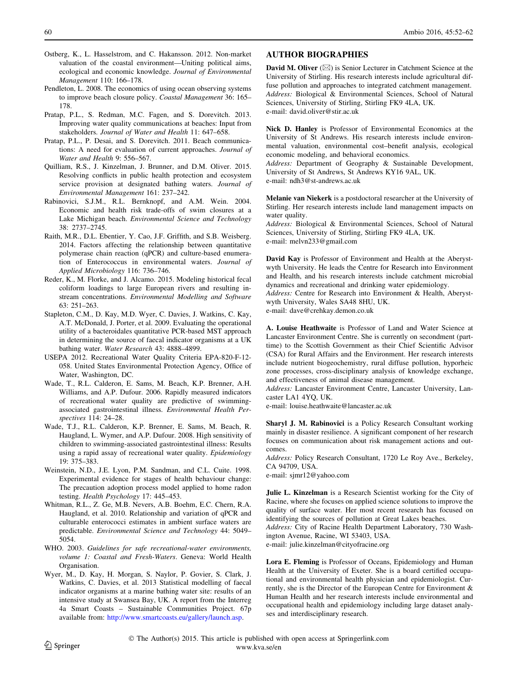- <span id="page-8-0"></span>Ostberg, K., L. Hasselstrom, and C. Hakansson. 2012. Non-market valuation of the coastal environment—Uniting political aims, ecological and economic knowledge. Journal of Environmental Management 110: 166–178.
- Pendleton, L. 2008. The economics of using ocean observing systems to improve beach closure policy. Coastal Management 36: 165– 178.
- Pratap, P.L., S. Redman, M.C. Fagen, and S. Dorevitch. 2013. Improving water quality communications at beaches: Input from stakeholders. Journal of Water and Health 11: 647–658.
- Pratap, P.L., P. Desai, and S. Dorevitch. 2011. Beach communications: A need for evaluation of current approaches. Journal of Water and Health 9: 556–567.
- Quilliam, R.S., J. Kinzelman, J. Brunner, and D.M. Oliver. 2015. Resolving conflicts in public health protection and ecosystem service provision at designated bathing waters. Journal of Environmental Management 161: 237–242.
- Rabinovici, S.J.M., R.L. Bernknopf, and A.M. Wein. 2004. Economic and health risk trade-offs of swim closures at a Lake Michigan beach. Environmental Science and Technology 38: 2737–2745.
- Raith, M.R., D.L. Ebentier, Y. Cao, J.F. Griffith, and S.B. Weisberg. 2014. Factors affecting the relationship between quantitative polymerase chain reaction (qPCR) and culture-based enumeration of Enterococcus in environmental waters. Journal of Applied Microbiology 116: 736–746.
- Reder, K., M. Florke, and J. Alcamo. 2015. Modeling historical fecal coliform loadings to large European rivers and resulting instream concentrations. Environmental Modelling and Software 63: 251–263.
- Stapleton, C.M., D. Kay, M.D. Wyer, C. Davies, J. Watkins, C. Kay, A.T. McDonald, J. Porter, et al. 2009. Evaluating the operational utility of a bacteroidales quantitative PCR-based MST approach in determining the source of faecal indicator organisms at a UK bathing water. Water Research 43: 4888–4899.
- USEPA 2012. Recreational Water Quality Criteria EPA-820-F-12- 058. United States Environmental Protection Agency, Office of Water, Washington, DC.
- Wade, T., R.L. Calderon, E. Sams, M. Beach, K.P. Brenner, A.H. Williams, and A.P. Dufour. 2006. Rapidly measured indicators of recreational water quality are predictive of swimmingassociated gastrointestinal illness. Environmental Health Perspectives 114: 24–28.
- Wade, T.J., R.L. Calderon, K.P. Brenner, E. Sams, M. Beach, R. Haugland, L. Wymer, and A.P. Dufour. 2008. High sensitivity of children to swimming-associated gastrointestinal illness: Results using a rapid assay of recreational water quality. Epidemiology 19: 375–383.
- Weinstein, N.D., J.E. Lyon, P.M. Sandman, and C.L. Cuite. 1998. Experimental evidence for stages of health behaviour change: The precaution adoption process model applied to home radon testing. Health Psychology 17: 445–453.
- Whitman, R.L., Z. Ge, M.B. Nevers, A.B. Boehm, E.C. Chern, R.A. Haugland, et al. 2010. Relationship and variation of qPCR and culturable enterococci estimates in ambient surface waters are predictable. Environmental Science and Technology 44: 5049– 5054.
- WHO. 2003. Guidelines for safe recreational-water environments, volume 1: Coastal and Fresh-Waters. Geneva: World Health Organisation.
- Wyer, M., D. Kay, H. Morgan, S. Naylor, P. Govier, S. Clark, J. Watkins, C. Davies, et al. 2013 Statistical modelling of faecal indicator organisms at a marine bathing water site: results of an intensive study at Swansea Bay, UK. A report from the Interreg 4a Smart Coasts – Sustainable Communities Project. 67p available from: <http://www.smartcoasts.eu/gallery/launch.asp>.

## AUTHOR BIOGRAPHIES

**David M. Oliver**  $(\boxtimes)$  is Senior Lecturer in Catchment Science at the University of Stirling. His research interests include agricultural diffuse pollution and approaches to integrated catchment management. Address: Biological & Environmental Sciences, School of Natural Sciences, University of Stirling, Stirling FK9 4LA, UK. e-mail: david.oliver@stir.ac.uk

Nick D. Hanley is Professor of Environmental Economics at the University of St Andrews. His research interests include environmental valuation, environmental cost–benefit analysis, ecological economic modeling, and behavioral economics.

Address: Department of Geography & Sustainable Development, University of St Andrews, St Andrews KY16 9AL, UK. e-mail: ndh3@st-andrews.ac.uk

Melanie van Niekerk is a postdoctoral researcher at the University of Stirling. Her research interests include land management impacts on water quality.

Address: Biological & Environmental Sciences, School of Natural Sciences, University of Stirling, Stirling FK9 4LA, UK. e-mail: melvn233@gmail.com

David Kay is Professor of Environment and Health at the Aberystwyth University. He leads the Centre for Research into Environment and Health, and his research interests include catchment microbial dynamics and recreational and drinking water epidemiology. Address: Centre for Research into Environment & Health, Aberystwyth University, Wales SA48 8HU, UK.

e-mail: dave@crehkay.demon.co.uk

A. Louise Heathwaite is Professor of Land and Water Science at Lancaster Environment Centre. She is currently on secondment (parttime) to the Scottish Government as their Chief Scientific Advisor (CSA) for Rural Affairs and the Environment. Her research interests include nutrient biogeochemistry, rural diffuse pollution, hyporheic zone processes, cross-disciplinary analysis of knowledge exchange, and effectiveness of animal disease management.

Address: Lancaster Environment Centre, Lancaster University, Lancaster LA1 4YQ, UK.

e-mail: louise.heathwaite@lancaster.ac.uk

Sharyl J. M. Rabinovici is a Policy Research Consultant working mainly in disaster resilience. A significant component of her research focuses on communication about risk management actions and outcomes.

Address: Policy Research Consultant, 1720 Le Roy Ave., Berkeley, CA 94709, USA.

e-mail: sjmr12@yahoo.com

Julie L. Kinzelman is a Research Scientist working for the City of Racine, where she focuses on applied science solutions to improve the quality of surface water. Her most recent research has focused on identifying the sources of pollution at Great Lakes beaches. Address: City of Racine Health Department Laboratory, 730 Washington Avenue, Racine, WI 53403, USA.

e-mail: julie.kinzelman@cityofracine.org

Lora E. Fleming is Professor of Oceans, Epidemiology and Human Health at the University of Exeter. She is a board certified occupational and environmental health physician and epidemiologist. Currently, she is the Director of the European Centre for Environment & Human Health and her research interests include environmental and occupational health and epidemiology including large dataset analyses and interdisciplinary research.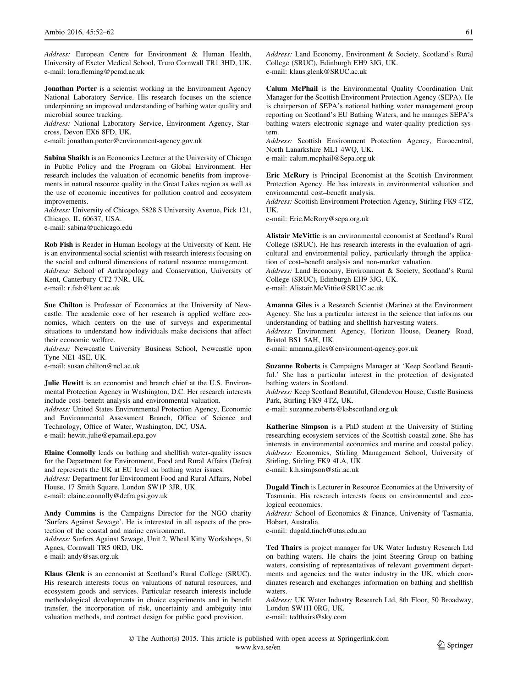Address: European Centre for Environment & Human Health, University of Exeter Medical School, Truro Cornwall TR1 3HD, UK. e-mail: lora.fleming@pcmd.ac.uk

Jonathan Porter is a scientist working in the Environment Agency National Laboratory Service. His research focuses on the science underpinning an improved understanding of bathing water quality and microbial source tracking.

Address: National Laboratory Service, Environment Agency, Starcross, Devon EX6 8FD, UK.

e-mail: jonathan.porter@environment-agency.gov.uk

Sabina Shaikh is an Economics Lecturer at the University of Chicago in Public Policy and the Program on Global Environment. Her research includes the valuation of economic benefits from improvements in natural resource quality in the Great Lakes region as well as the use of economic incentives for pollution control and ecosystem improvements.

Address: University of Chicago, 5828 S University Avenue, Pick 121, Chicago, IL 60637, USA.

e-mail: sabina@uchicago.edu

Rob Fish is Reader in Human Ecology at the University of Kent. He is an environmental social scientist with research interests focusing on the social and cultural dimensions of natural resource management. Address: School of Anthropology and Conservation, University of Kent, Canterbury CT2 7NR, UK.

e-mail: r.fish@kent.ac.uk

Sue Chilton is Professor of Economics at the University of Newcastle. The academic core of her research is applied welfare economics, which centers on the use of surveys and experimental situations to understand how individuals make decisions that affect their economic welfare.

Address: Newcastle University Business School, Newcastle upon Tyne NE1 4SE, UK.

e-mail: susan.chilton@ncl.ac.uk

Julie Hewitt is an economist and branch chief at the U.S. Environmental Protection Agency in Washington, D.C. Her research interests include cost–benefit analysis and environmental valuation.

Address: United States Environmental Protection Agency, Economic and Environmental Assessment Branch, Office of Science and Technology, Office of Water, Washington, DC, USA. e-mail: hewitt.julie@epamail.epa.gov

Elaine Connolly leads on bathing and shellfish water-quality issues for the Department for Environment, Food and Rural Affairs (Defra) and represents the UK at EU level on bathing water issues. Address: Department for Environment Food and Rural Affairs, Nobel House, 17 Smith Square, London SW1P 3JR, UK.

e-mail: elaine.connolly@defra.gsi.gov.uk

Andy Cummins is the Campaigns Director for the NGO charity 'Surfers Against Sewage'. He is interested in all aspects of the protection of the coastal and marine environment.

Address: Surfers Against Sewage, Unit 2, Wheal Kitty Workshops, St Agnes, Cornwall TR5 0RD, UK.

e-mail: andy@sas.org.uk

Klaus Glenk is an economist at Scotland's Rural College (SRUC). His research interests focus on valuations of natural resources, and ecosystem goods and services. Particular research interests include methodological developments in choice experiments and in benefit transfer, the incorporation of risk, uncertainty and ambiguity into valuation methods, and contract design for public good provision.

Address: Land Economy, Environment & Society, Scotland's Rural College (SRUC), Edinburgh EH9 3JG, UK. e-mail: klaus.glenk@SRUC.ac.uk

Calum McPhail is the Environmental Quality Coordination Unit Manager for the Scottish Environment Protection Agency (SEPA). He is chairperson of SEPA's national bathing water management group reporting on Scotland's EU Bathing Waters, and he manages SEPA's bathing waters electronic signage and water-quality prediction system.

Address: Scottish Environment Protection Agency, Eurocentral, North Lanarkshire ML1 4WQ, UK. e-mail: calum.mcphail@Sepa.org.uk

Eric McRory is Principal Economist at the Scottish Environment Protection Agency. He has interests in environmental valuation and environmental cost–benefit analysis.

Address: Scottish Environment Protection Agency, Stirling FK9 4TZ, UK.

e-mail: Eric.McRory@sepa.org.uk

Alistair McVittie is an environmental economist at Scotland's Rural College (SRUC). He has research interests in the evaluation of agricultural and environmental policy, particularly through the application of cost–benefit analysis and non-market valuation.

Address: Land Economy, Environment & Society, Scotland's Rural College (SRUC), Edinburgh EH9 3JG, UK.

e-mail: Alistair.McVittie@SRUC.ac.uk

Amanna Giles is a Research Scientist (Marine) at the Environment Agency. She has a particular interest in the science that informs our understanding of bathing and shellfish harvesting waters.

Address: Environment Agency, Horizon House, Deanery Road, Bristol BS1 5AH, UK.

e-mail: amanna.giles@environment-agency.gov.uk

Suzanne Roberts is Campaigns Manager at 'Keep Scotland Beautiful.' She has a particular interest in the protection of designated bathing waters in Scotland.

Address: Keep Scotland Beautiful, Glendevon House, Castle Business Park, Stirling FK9 4TZ, UK.

e-mail: suzanne.roberts@ksbscotland.org.uk

Katherine Simpson is a PhD student at the University of Stirling researching ecosystem services of the Scottish coastal zone. She has interests in environmental economics and marine and coastal policy. Address: Economics, Stirling Management School, University of Stirling, Stirling FK9 4LA, UK. e-mail: k.h.simpson@stir.ac.uk

Dugald Tinch is Lecturer in Resource Economics at the University of Tasmania. His research interests focus on environmental and ecological economics.

Address: School of Economics & Finance, University of Tasmania, Hobart, Australia.

e-mail: dugald.tinch@utas.edu.au

Ted Thairs is project manager for UK Water Industry Research Ltd on bathing waters. He chairs the joint Steering Group on bathing waters, consisting of representatives of relevant government departments and agencies and the water industry in the UK, which coordinates research and exchanges information on bathing and shellfish waters.

Address: UK Water Industry Research Ltd, 8th Floor, 50 Broadway, London SW1H 0RG, UK.

e-mail: tedthairs@sky.com